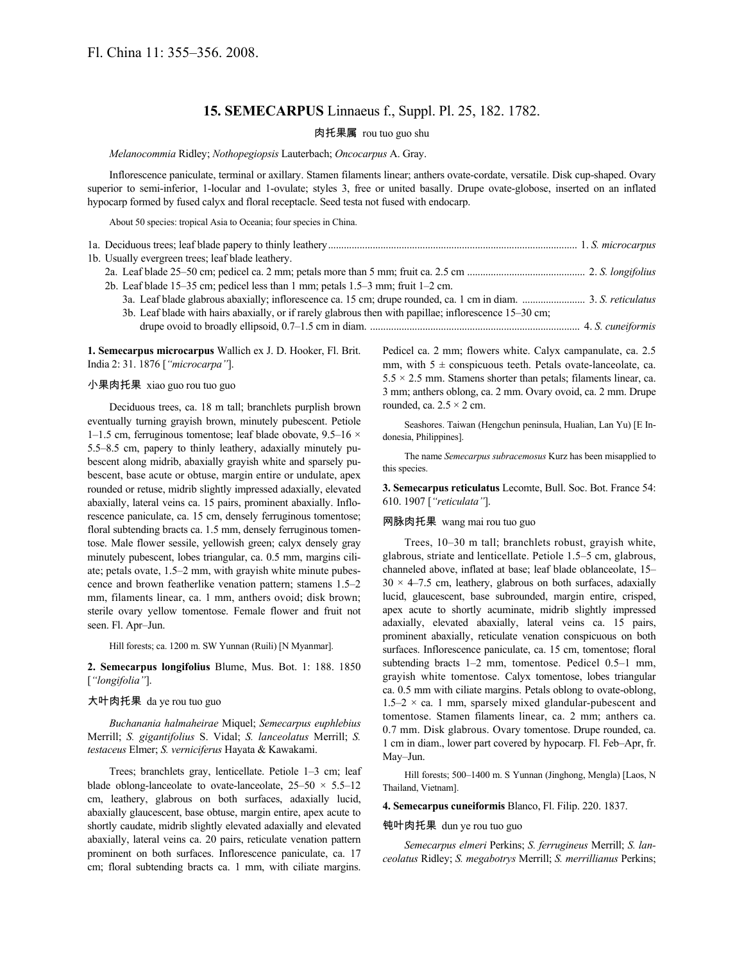# **15. SEMECARPUS** Linnaeus f., Suppl. Pl. 25, 182. 1782.

## 肉托果属 rou tuo guo shu

### *Melanocommia* Ridley; *Nothopegiopsis* Lauterbach; *Oncocarpus* A. Gray.

Inflorescence paniculate, terminal or axillary. Stamen filaments linear; anthers ovate-cordate, versatile. Disk cup-shaped. Ovary superior to semi-inferior, 1-locular and 1-ovulate; styles 3, free or united basally. Drupe ovate-globose, inserted on an inflated hypocarp formed by fused calyx and floral receptacle. Seed testa not fused with endocarp.

About 50 species: tropical Asia to Oceania; four species in China.

| 1b. Usually evergreen trees; leaf blade leathery.                                                      |  |
|--------------------------------------------------------------------------------------------------------|--|
|                                                                                                        |  |
| 2b. Leaf blade 15–35 cm; pedicel less than 1 mm; petals 1.5–3 mm; fruit 1–2 cm.                        |  |
|                                                                                                        |  |
| 3b. Leaf blade with hairs abaxially, or if rarely glabrous then with papillae; inflorescence 15-30 cm; |  |
|                                                                                                        |  |
|                                                                                                        |  |

**1. Semecarpus microcarpus** Wallich ex J. D. Hooker, Fl. Brit. India 2: 31. 1876 [*"microcarpa"*].

## 小果肉托果 xiao guo rou tuo guo

Deciduous trees, ca. 18 m tall; branchlets purplish brown eventually turning grayish brown, minutely pubescent. Petiole 1–1.5 cm, ferruginous tomentose; leaf blade obovate,  $9.5-16 \times$ 5.5–8.5 cm, papery to thinly leathery, adaxially minutely pubescent along midrib, abaxially grayish white and sparsely pubescent, base acute or obtuse, margin entire or undulate, apex rounded or retuse, midrib slightly impressed adaxially, elevated abaxially, lateral veins ca. 15 pairs, prominent abaxially. Inflorescence paniculate, ca. 15 cm, densely ferruginous tomentose; floral subtending bracts ca. 1.5 mm, densely ferruginous tomentose. Male flower sessile, yellowish green; calyx densely gray minutely pubescent, lobes triangular, ca. 0.5 mm, margins ciliate; petals ovate, 1.5–2 mm, with grayish white minute pubescence and brown featherlike venation pattern; stamens 1.5–2 mm, filaments linear, ca. 1 mm, anthers ovoid; disk brown; sterile ovary yellow tomentose. Female flower and fruit not seen. Fl. Apr–Jun.

Hill forests; ca. 1200 m. SW Yunnan (Ruili) [N Myanmar].

**2. Semecarpus longifolius** Blume, Mus. Bot. 1: 188. 1850 [*"longifolia"*].

## 大叶肉托果 da ye rou tuo guo

*Buchanania halmaheirae* Miquel; *Semecarpus euphlebius* Merrill; *S. gigantifolius* S. Vidal; *S. lanceolatus* Merrill; *S. testaceus* Elmer; *S. verniciferus* Hayata & Kawakami.

Trees; branchlets gray, lenticellate. Petiole 1–3 cm; leaf blade oblong-lanceolate to ovate-lanceolate,  $25-50 \times 5.5-12$ cm, leathery, glabrous on both surfaces, adaxially lucid, abaxially glaucescent, base obtuse, margin entire, apex acute to shortly caudate, midrib slightly elevated adaxially and elevated abaxially, lateral veins ca. 20 pairs, reticulate venation pattern prominent on both surfaces. Inflorescence paniculate, ca. 17 cm; floral subtending bracts ca. 1 mm, with ciliate margins.

Pedicel ca. 2 mm; flowers white. Calyx campanulate, ca. 2.5 mm, with  $5 \pm$  conspicuous teeth. Petals ovate-lanceolate, ca.  $5.5 \times 2.5$  mm. Stamens shorter than petals; filaments linear, ca. 3 mm; anthers oblong, ca. 2 mm. Ovary ovoid, ca. 2 mm. Drupe rounded, ca.  $2.5 \times 2$  cm.

Seashores. Taiwan (Hengchun peninsula, Hualian, Lan Yu) [E Indonesia, Philippines].

The name *Semecarpus subracemosus* Kurz has been misapplied to this species.

**3. Semecarpus reticulatus** Lecomte, Bull. Soc. Bot. France 54: 610. 1907 [*"reticulata"*].

### 网脉肉托果 wang mai rou tuo guo

Trees, 10–30 m tall; branchlets robust, grayish white, glabrous, striate and lenticellate. Petiole 1.5–5 cm, glabrous, channeled above, inflated at base; leaf blade oblanceolate, 15–  $30 \times 4 - 7.5$  cm, leathery, glabrous on both surfaces, adaxially lucid, glaucescent, base subrounded, margin entire, crisped, apex acute to shortly acuminate, midrib slightly impressed adaxially, elevated abaxially, lateral veins ca. 15 pairs, prominent abaxially, reticulate venation conspicuous on both surfaces. Inflorescence paniculate, ca. 15 cm, tomentose; floral subtending bracts 1–2 mm, tomentose. Pedicel 0.5–1 mm, grayish white tomentose. Calyx tomentose, lobes triangular ca. 0.5 mm with ciliate margins. Petals oblong to ovate-oblong,  $1.5-2 \times$  ca. 1 mm, sparsely mixed glandular-pubescent and tomentose. Stamen filaments linear, ca. 2 mm; anthers ca. 0.7 mm. Disk glabrous. Ovary tomentose. Drupe rounded, ca. 1 cm in diam., lower part covered by hypocarp. Fl. Feb–Apr, fr. May–Jun.

Hill forests; 500–1400 m. S Yunnan (Jinghong, Mengla) [Laos, N Thailand, Vietnam].

#### **4. Semecarpus cuneiformis** Blanco, Fl. Filip. 220. 1837.

## 钝叶肉托果 dun ye rou tuo guo

*Semecarpus elmeri* Perkins; *S. ferrugineus* Merrill; *S. lanceolatus* Ridley; *S. megabotrys* Merrill; *S. merrillianus* Perkins;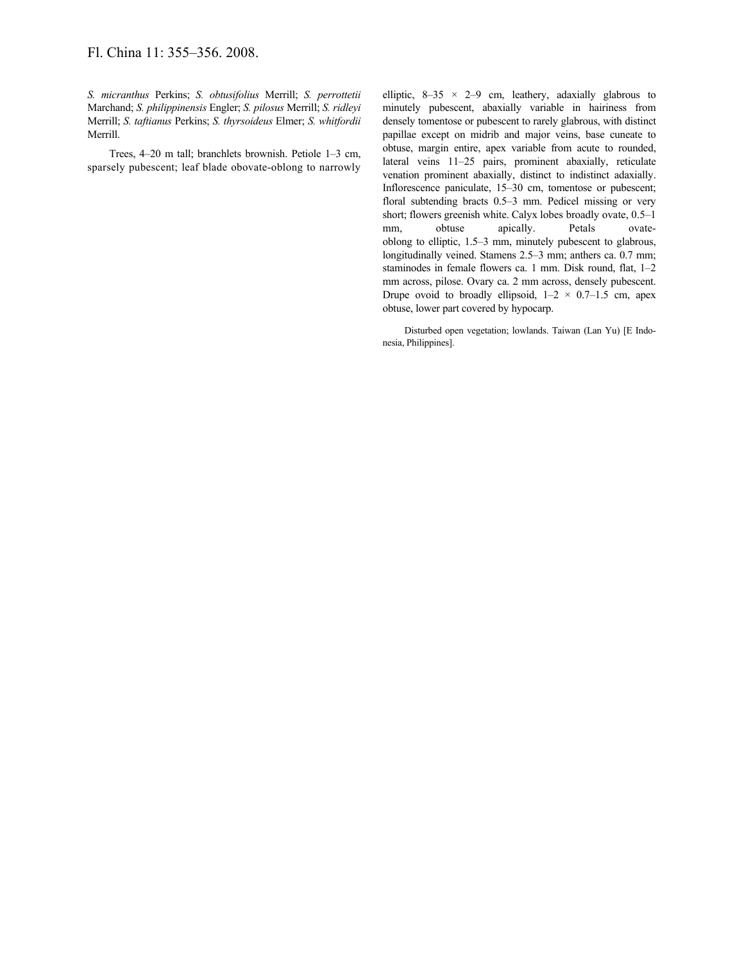*S. micranthus* Perkins; *S. obtusifolius* Merrill; *S. perrottetii* Marchand; *S. philippinensis* Engler; *S. pilosus* Merrill; *S. ridleyi* Merrill; *S. taftianus* Perkins; *S. thyrsoideus* Elmer; *S. whitfordii* Merrill.

Trees, 4–20 m tall; branchlets brownish. Petiole 1–3 cm, sparsely pubescent; leaf blade obovate-oblong to narrowly elliptic,  $8-35 \times 2-9$  cm, leathery, adaxially glabrous to minutely pubescent, abaxially variable in hairiness from densely tomentose or pubescent to rarely glabrous, with distinct papillae except on midrib and major veins, base cuneate to obtuse, margin entire, apex variable from acute to rounded, lateral veins 11–25 pairs, prominent abaxially, reticulate venation prominent abaxially, distinct to indistinct adaxially. Inflorescence paniculate, 15–30 cm, tomentose or pubescent; floral subtending bracts 0.5–3 mm. Pedicel missing or very short; flowers greenish white. Calyx lobes broadly ovate, 0.5–1 mm, obtuse apically. Petals ovateoblong to elliptic, 1.5–3 mm, minutely pubescent to glabrous, longitudinally veined. Stamens 2.5–3 mm; anthers ca. 0.7 mm; staminodes in female flowers ca. 1 mm. Disk round, flat, 1–2 mm across, pilose. Ovary ca. 2 mm across, densely pubescent. Drupe ovoid to broadly ellipsoid,  $1-2 \times 0.7-1.5$  cm, apex obtuse, lower part covered by hypocarp.

Disturbed open vegetation; lowlands. Taiwan (Lan Yu) [E Indonesia, Philippines].